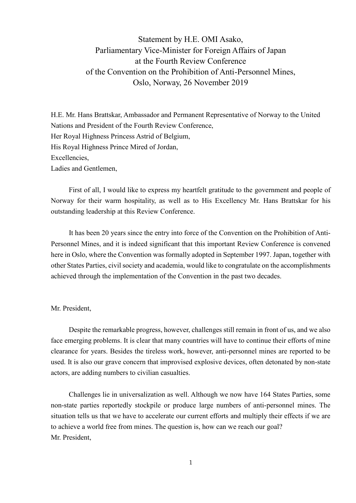Statement by H.E. OMI Asako, Parliamentary Vice-Minister for Foreign Affairs of Japan at the Fourth Review Conference of the Convention on the Prohibition of Anti-Personnel Mines, Oslo, Norway, 26 November 2019

H.E. Mr. Hans Brattskar, Ambassador and Permanent Representative of Norway to the United Nations and President of the Fourth Review Conference, Her Royal Highness Princess Astrid of Belgium, His Royal Highness Prince Mired of Jordan, Excellencies, Ladies and Gentlemen,

First of all, I would like to express my heartfelt gratitude to the government and people of Norway for their warm hospitality, as well as to His Excellency Mr. Hans Brattskar for his outstanding leadership at this Review Conference.

It has been 20 years since the entry into force of the Convention on the Prohibition of Anti-Personnel Mines, and it is indeed significant that this important Review Conference is convened here in Oslo, where the Convention was formally adopted in September 1997. Japan, together with other States Parties, civil society and academia, would like to congratulate on the accomplishments achieved through the implementation of the Convention in the past two decades.

## Mr. President,

Despite the remarkable progress, however, challenges still remain in front of us, and we also face emerging problems. It is clear that many countries will have to continue their efforts of mine clearance for years. Besides the tireless work, however, anti-personnel mines are reported to be used. It is also our grave concern that improvised explosive devices, often detonated by non-state actors, are adding numbers to civilian casualties.

Challenges lie in universalization as well. Although we now have 164 States Parties, some non-state parties reportedly stockpile or produce large numbers of anti-personnel mines. The situation tells us that we have to accelerate our current efforts and multiply their effects if we are to achieve a world free from mines. The question is, how can we reach our goal? Mr. President,